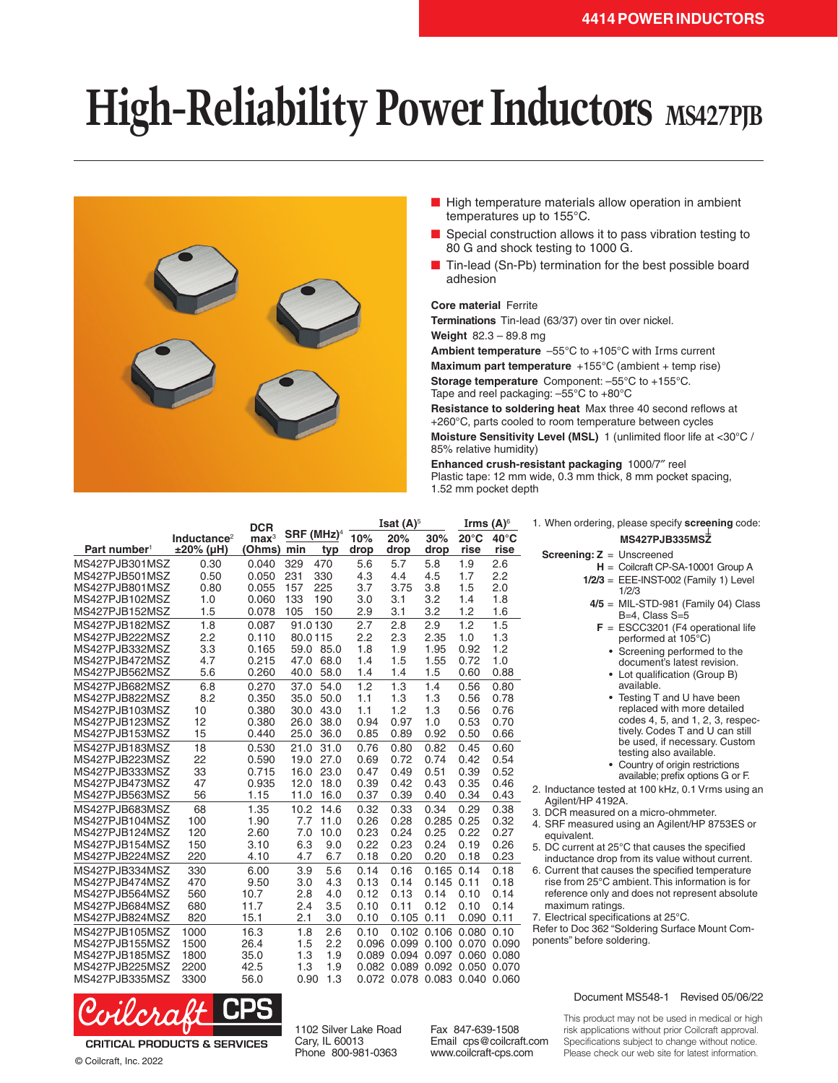## **High-Reliability Power Inductors** MS427PJB



- High temperature materials allow operation in ambient temperatures up to 155°C.
- Special construction allows it to pass vibration testing to 80 G and shock testing to 1000 G.
- Tin-lead (Sn-Pb) termination for the best possible board adhesion

## **Core material** Ferrite

**Terminations** Tin-lead (63/37) over tin over nickel.

**Weight** 82.3 – 89.8 mg

**Ambient temperature** –55°C to +105°C with Irms current

**Maximum part temperature** +155°C (ambient + temp rise)

**Storage temperature** Component: –55°C to +155°C. Tape and reel packaging: –55°C to +80°C

**Resistance to soldering heat** Max three 40 second reflows at +260°C, parts cooled to room temperature between cycles **Moisture Sensitivity Level (MSL)** 1 (unlimited floor life at <30°C / 85% relative humidity)

**Enhanced crush-resistant packaging** 1000/7″ reel Plastic tape: 12 mm wide, 0.3 mm thick, 8 mm pocket spacing, 1.52 mm pocket depth

|                                  |                         | <b>DCR</b>       |                        |              | Isat $(A)^5$ |                               |                         | Irms $(A)^6$   |                | 1. When ordering, please specify screening code:                                                    |
|----------------------------------|-------------------------|------------------|------------------------|--------------|--------------|-------------------------------|-------------------------|----------------|----------------|-----------------------------------------------------------------------------------------------------|
|                                  | Inductance <sup>2</sup> | $\mathbf{max}^3$ | SRF (MHz) <sup>4</sup> |              | 10%          | 20%                           | 30%                     | $20^{\circ}$ C | $40^{\circ}$ C | MS427PJB335MSZ                                                                                      |
| Part number <sup>1</sup>         | $±20\%$ (µH)            | (Ohms)           | min                    | typ          | drop         | drop                          | drop                    | rise           | rise           | <b>Screening: <math>Z =</math></b> Unscreened                                                       |
| MS427PJB301MSZ                   | 0.30                    | 0.040            | 329                    | 470          | 5.6          | 5.7                           | 5.8                     | 1.9            | 2.6            | $H =$ Coilcraft CP-SA-10001 Group A                                                                 |
| MS427PJB501MSZ                   | 0.50                    | 0.050            | 231                    | 330          | 4.3          | 4.4                           | 4.5                     | 1.7            | 2.2            | $1/2/3$ = EEE-INST-002 (Family 1) Level                                                             |
| MS427PJB801MSZ                   | 0.80                    | 0.055            | 157                    | 225          | 3.7          | 3.75                          | 3.8                     | 1.5            | 2.0            | 1/2/3                                                                                               |
| MS427PJB102MSZ                   | 1.0                     | 0.060            | 133                    | 190          | 3.0          | 3.1                           | 3.2                     | 1.4            | 1.8            | $4/5$ = MIL-STD-981 (Family 04) Class                                                               |
| MS427PJB152MSZ                   | 1.5                     | 0.078            | 105                    | 150          | 2.9          | 3.1                           | 3.2                     | 1.2            | 1.6            | $B=4$ . Class $S=5$                                                                                 |
| MS427PJB182MSZ                   | 1.8                     | 0.087            | 91.0130                |              | 2.7          | 2.8                           | 2.9                     | 1.2            | 1.5            | $F = ESCC3201$ (F4 operational life                                                                 |
| MS427PJB222MSZ                   | 2.2                     | 0.110            | 80.0115                |              | 2.2          | 2.3                           | 2.35                    | 1.0            | 1.3            | performed at 105°C)                                                                                 |
| MS427PJB332MSZ                   | 3.3                     | 0.165            |                        | 59.0 85.0    | 1.8          | 1.9                           | 1.95                    | 0.92           | 1.2            | • Screening performed to the                                                                        |
| MS427PJB472MSZ                   | 4.7                     | 0.215            |                        | 47.0 68.0    | 1.4          | 1.5                           | 1.55                    | 0.72           | 1.0            | document's latest revision.                                                                         |
| MS427PJB562MSZ                   | 5.6                     | 0.260            | 40.0                   | 58.0         | 1.4          | 1.4                           | 1.5                     | 0.60           | 0.88           | • Lot qualification (Group B)                                                                       |
| MS427PJB682MSZ                   | 6.8                     | 0.270            | 37.0                   | 54.0         | 1.2          | 1.3                           | 1.4                     | 0.56           | 0.80           | available.                                                                                          |
| MS427PJB822MSZ                   | 8.2                     | 0.350            | 35.0                   | 50.0         | 1.1          | 1.3                           | 1.3                     | 0.56           | 0.78           | • Testing T and U have been                                                                         |
| MS427PJB103MSZ                   | 10                      | 0.380            | 30.0                   | 43.0         | 1.1          | 1.2                           | 1.3                     | 0.56           | 0.76           | replaced with more detailed<br>codes 4, 5, and 1, 2, 3, respec-                                     |
| MS427PJB123MSZ                   | 12                      | 0.380            | 26.0                   | 38.0         | 0.94         | 0.97                          | 1.0                     | 0.53           | 0.70           | tively. Codes T and U can still                                                                     |
| MS427PJB153MSZ                   | 15                      | 0.440            | 25.0                   | 36.0         | 0.85         | 0.89                          | 0.92                    | 0.50           | 0.66           | be used, if necessary. Custom                                                                       |
| MS427PJB183MSZ                   | 18                      | 0.530            | 21.0                   | 31.0         | 0.76         | 0.80                          | 0.82                    | 0.45           | 0.60           | testing also available.                                                                             |
| MS427PJB223MSZ                   | 22                      | 0.590            | 19.0                   | 27.0         | 0.69         | 0.72                          | 0.74                    | 0.42           | 0.54           | • Country of origin restrictions                                                                    |
| MS427PJB333MSZ<br>MS427PJB473MSZ | 33<br>47                | 0.715            | 16.0<br>12.0           | 23.0<br>18.0 | 0.47<br>0.39 | 0.49<br>0.42                  | 0.51<br>0.43            | 0.39<br>0.35   | 0.52           | available; prefix options G or F.                                                                   |
| MS427PJB563MSZ                   | 56                      | 0.935<br>1.15    | 11.0                   | 16.0         | 0.37         | 0.39                          | 0.40                    | 0.34           | 0.46<br>0.43   | 2. Inductance tested at 100 kHz, 0.1 Vrms using an                                                  |
|                                  |                         |                  |                        |              |              |                               |                         |                |                | Agilent/HP 4192A.                                                                                   |
| MS427PJB683MSZ                   | 68                      | 1.35             | 10.2                   | 14.6         | 0.32         | 0.33                          | 0.34                    | 0.29           | 0.38           | 3. DCR measured on a micro-ohmmeter.                                                                |
| MS427PJB104MSZ<br>MS427PJB124MSZ | 100<br>120              | 1.90<br>2.60     | 7.7<br>7.0             | 11.0<br>10.0 | 0.26<br>0.23 | 0.28<br>0.24                  | 0.285<br>0.25           | 0.25<br>0.22   | 0.32<br>0.27   | 4. SRF measured using an Agilent/HP 8753ES or                                                       |
| MS427PJB154MSZ                   | 150                     | 3.10             | 6.3                    | 9.0          | 0.22         | 0.23                          | 0.24                    | 0.19           | 0.26           | equivalent.                                                                                         |
| MS427PJB224MSZ                   | 220                     | 4.10             | 4.7                    | 6.7          | 0.18         | 0.20                          | 0.20                    | 0.18           | 0.23           | 5. DC current at 25°C that causes the specified                                                     |
| MS427PJB334MSZ                   | 330                     | 6.00             | 3.9                    | 5.6          | 0.14         | 0.16                          | $0.165$ $0.14$          |                | 0.18           | inductance drop from its value without current.                                                     |
| MS427PJB474MSZ                   | 470                     | 9.50             | 3.0                    | 4.3          | 0.13         | 0.14                          | $0.145$ $0.11$          |                | 0.18           | 6. Current that causes the specified temperature<br>rise from 25°C ambient. This information is for |
| MS427PJB564MSZ                   | 560                     | 10.7             | 2.8                    | 4.0          | 0.12         | 0.13                          | 0.14                    | 0.10           | 0.14           | reference only and does not represent absolute                                                      |
| MS427PJB684MSZ                   | 680                     | 11.7             | 2.4                    | 3.5          | 0.10         | 0.11                          | 0.12                    | 0.10           | 0.14           | maximum ratings.                                                                                    |
| MS427PJB824MSZ                   | 820                     | 15.1             | 2.1                    | 3.0          | 0.10         | $0.105$ $0.11$                |                         | $0.090$ $0.11$ |                | 7. Electrical specifications at 25°C.                                                               |
| MS427PJB105MSZ                   | 1000                    | 16.3             | 1.8                    | 2.6          | 0.10         |                               | 0.102 0.106             | $0.080$ $0.10$ |                | Refer to Doc 362 "Soldering Surface Mount Com-                                                      |
| MS427PJB155MSZ                   | 1500                    | 26.4             | 1.5                    | 2.2          | 0.096        |                               | 0.099 0.100 0.070       |                | 0.090          | ponents" before soldering.                                                                          |
| MS427PJB185MSZ                   | 1800                    | 35.0             | 1.3                    | 1.9          | 0.089        |                               | 0.094 0.097 0.060 0.080 |                |                |                                                                                                     |
| MS427PJB225MSZ                   | 2200                    | 42.5             | 1.3                    | 1.9          | 0.082        |                               | 0.089 0.092 0.050 0.070 |                |                |                                                                                                     |
| MS427PJB335MSZ                   | 3300                    | 56.0             | 0.90                   | 1.3          |              | 0.072 0.078 0.083 0.040 0.060 |                         |                |                |                                                                                                     |



**CRITICAL PRODUCTS & SERVICES** © Coilcraft, Inc. 2022

1102 Silver Lake Road Cary, IL 60013 Phone 800-981-0363

Fax 847-639-1508 Email cps@coilcraft.com www.coilcraft-cps.com

Document MS548-1 Revised 05/06/22

This product may not be used in medical or high risk applications without prior Coilcraft approval. Specifications subject to change without notice. Please check our web site for latest information.